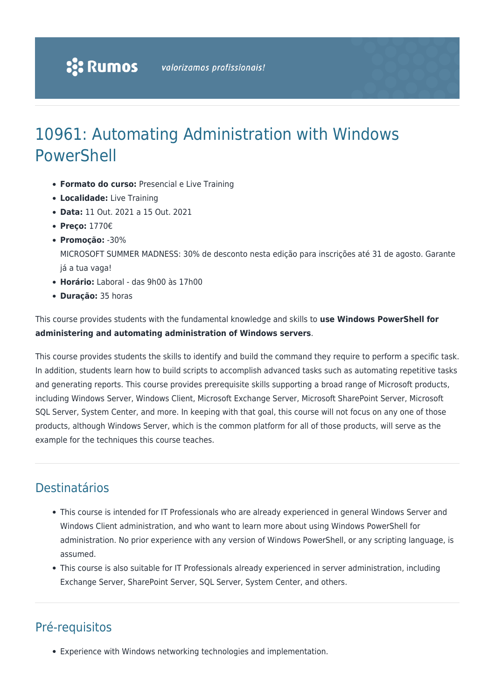# 10961: Automating Administration with Windows PowerShell

- **Formato do curso:** Presencial e Live Training
- **Localidade:** Live Training
- **Data:** 11 Out. 2021 a 15 Out. 2021
- **Preço:** 1770€
- **Promoção:** -30%

MICROSOFT SUMMER MADNESS: 30% de desconto nesta edição para inscrições até 31 de agosto. Garante já a tua vaga!

- **Horário:** Laboral das 9h00 às 17h00
- **Duração:** 35 horas

This course provides students with the fundamental knowledge and skills to **use Windows PowerShell for administering and automating administration of Windows servers**.

This course provides students the skills to identify and build the command they require to perform a specific task. In addition, students learn how to build scripts to accomplish advanced tasks such as automating repetitive tasks and generating reports. This course provides prerequisite skills supporting a broad range of Microsoft products, including Windows Server, Windows Client, Microsoft Exchange Server, Microsoft SharePoint Server, Microsoft SQL Server, System Center, and more. In keeping with that goal, this course will not focus on any one of those products, although Windows Server, which is the common platform for all of those products, will serve as the example for the techniques this course teaches.

### Destinatários

- This course is intended for IT Professionals who are already experienced in general Windows Server and Windows Client administration, and who want to learn more about using Windows PowerShell for administration. No prior experience with any version of Windows PowerShell, or any scripting language, is assumed.
- This course is also suitable for IT Professionals already experienced in server administration, including Exchange Server, SharePoint Server, SQL Server, System Center, and others.

# Pré-requisitos

Experience with Windows networking technologies and implementation.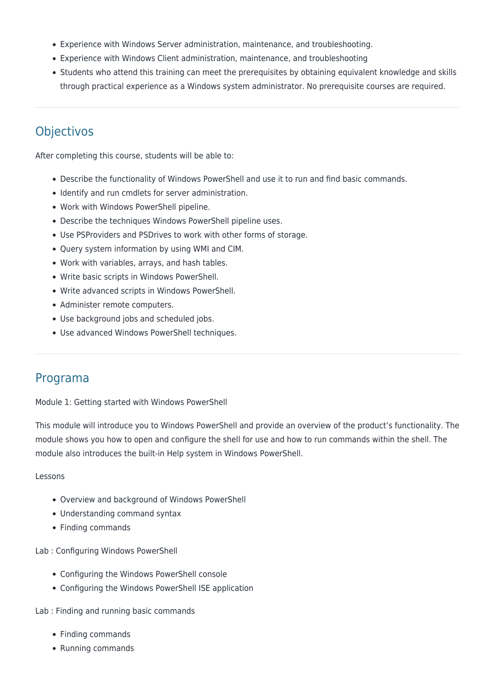- Experience with Windows Server administration, maintenance, and troubleshooting.
- Experience with Windows Client administration, maintenance, and troubleshooting
- Students who attend this training can meet the prerequisites by obtaining equivalent knowledge and skills through practical experience as a Windows system administrator. No prerequisite courses are required.

## **Objectivos**

After completing this course, students will be able to:

- Describe the functionality of Windows PowerShell and use it to run and find basic commands.
- Identify and run cmdlets for server administration.
- Work with Windows PowerShell pipeline.
- Describe the techniques Windows PowerShell pipeline uses.
- Use PSProviders and PSDrives to work with other forms of storage.
- Query system information by using WMI and CIM.
- Work with variables, arrays, and hash tables.
- Write basic scripts in Windows PowerShell.
- Write advanced scripts in Windows PowerShell.
- Administer remote computers.
- Use background jobs and scheduled jobs.
- Use advanced Windows PowerShell techniques.

### Programa

Module 1: Getting started with Windows PowerShell

This module will introduce you to Windows PowerShell and provide an overview of the product's functionality. The module shows you how to open and configure the shell for use and how to run commands within the shell. The module also introduces the built-in Help system in Windows PowerShell.

#### Lessons

- Overview and background of Windows PowerShell
- Understanding command syntax
- Finding commands

Lab : Configuring Windows PowerShell

- Configuring the Windows PowerShell console
- Configuring the Windows PowerShell ISE application

Lab : Finding and running basic commands

- Finding commands
- Running commands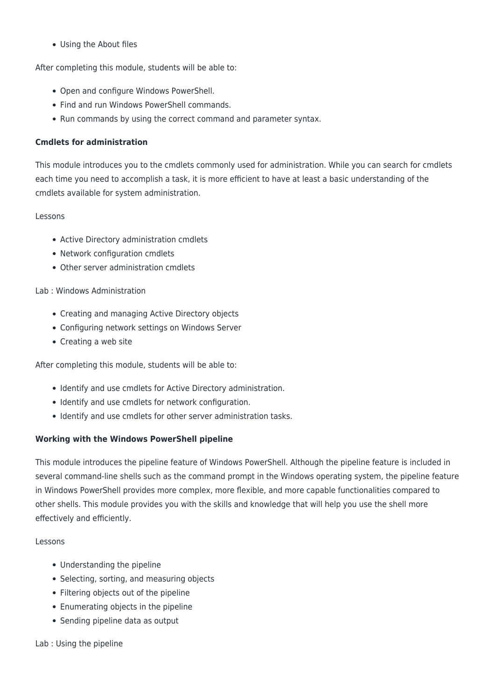Using the About files

After completing this module, students will be able to:

- Open and configure Windows PowerShell.
- Find and run Windows PowerShell commands.
- Run commands by using the correct command and parameter syntax.

#### **Cmdlets for administration**

This module introduces you to the cmdlets commonly used for administration. While you can search for cmdlets each time you need to accomplish a task, it is more efficient to have at least a basic understanding of the cmdlets available for system administration.

#### Lessons

- Active Directory administration cmdlets
- Network configuration cmdlets
- Other server administration cmdlets

#### Lab : Windows Administration

- Creating and managing Active Directory objects
- Configuring network settings on Windows Server
- Creating a web site

After completing this module, students will be able to:

- Identify and use cmdlets for Active Directory administration.
- Identify and use cmdlets for network configuration.
- Identify and use cmdlets for other server administration tasks.

#### **Working with the Windows PowerShell pipeline**

This module introduces the pipeline feature of Windows PowerShell. Although the pipeline feature is included in several command-line shells such as the command prompt in the Windows operating system, the pipeline feature in Windows PowerShell provides more complex, more flexible, and more capable functionalities compared to other shells. This module provides you with the skills and knowledge that will help you use the shell more effectively and efficiently.

#### Lessons

- Understanding the pipeline
- Selecting, sorting, and measuring objects
- Filtering objects out of the pipeline
- Enumerating objects in the pipeline
- Sending pipeline data as output

#### Lab : Using the pipeline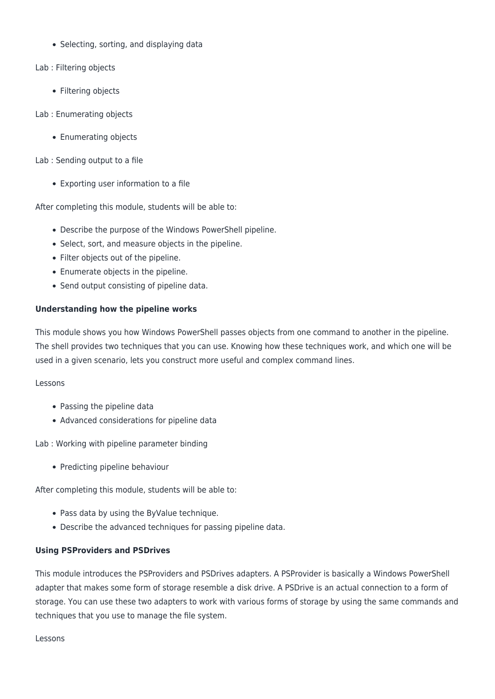- Selecting, sorting, and displaying data
- Lab : Filtering objects
	- Filtering objects
- Lab : Enumerating objects
	- Enumerating objects
- Lab : Sending output to a file
	- Exporting user information to a file

After completing this module, students will be able to:

- Describe the purpose of the Windows PowerShell pipeline.
- Select, sort, and measure objects in the pipeline.
- Filter objects out of the pipeline.
- Enumerate objects in the pipeline.
- Send output consisting of pipeline data.

#### **Understanding how the pipeline works**

This module shows you how Windows PowerShell passes objects from one command to another in the pipeline. The shell provides two techniques that you can use. Knowing how these techniques work, and which one will be used in a given scenario, lets you construct more useful and complex command lines.

#### Lessons

- Passing the pipeline data
- Advanced considerations for pipeline data

Lab : Working with pipeline parameter binding

• Predicting pipeline behaviour

After completing this module, students will be able to:

- Pass data by using the ByValue technique.
- Describe the advanced techniques for passing pipeline data.

#### **Using PSProviders and PSDrives**

This module introduces the PSProviders and PSDrives adapters. A PSProvider is basically a Windows PowerShell adapter that makes some form of storage resemble a disk drive. A PSDrive is an actual connection to a form of storage. You can use these two adapters to work with various forms of storage by using the same commands and techniques that you use to manage the file system.

Lessons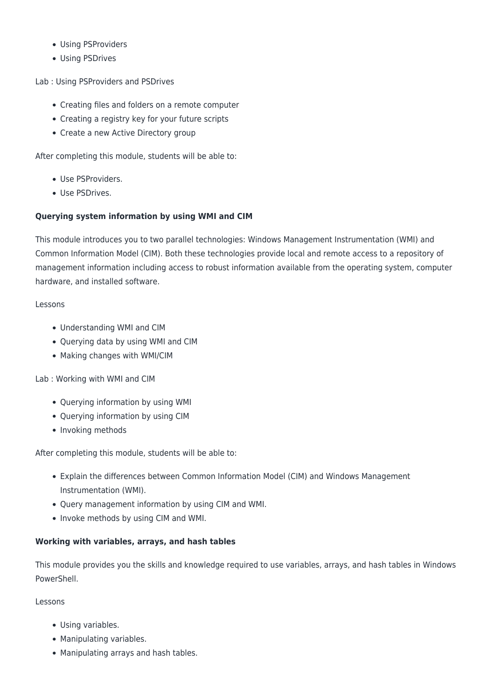- Using PSProviders
- Using PSDrives

Lab : Using PSProviders and PSDrives

- Creating files and folders on a remote computer
- Creating a registry key for your future scripts
- Create a new Active Directory group

After completing this module, students will be able to:

- Use PSProviders.
- Use PSDrives.

#### **Querying system information by using WMI and CIM**

This module introduces you to two parallel technologies: Windows Management Instrumentation (WMI) and Common Information Model (CIM). Both these technologies provide local and remote access to a repository of management information including access to robust information available from the operating system, computer hardware, and installed software.

#### Lessons

- Understanding WMI and CIM
- Querying data by using WMI and CIM
- Making changes with WMI/CIM

#### Lab : Working with WMI and CIM

- Querying information by using WMI
- Querying information by using CIM
- Invoking methods

After completing this module, students will be able to:

- Explain the differences between Common Information Model (CIM) and Windows Management Instrumentation (WMI).
- Query management information by using CIM and WMI.
- Invoke methods by using CIM and WMI.

#### **Working with variables, arrays, and hash tables**

This module provides you the skills and knowledge required to use variables, arrays, and hash tables in Windows **PowerShell** 

Lessons

- Using variables.
- Manipulating variables.
- Manipulating arrays and hash tables.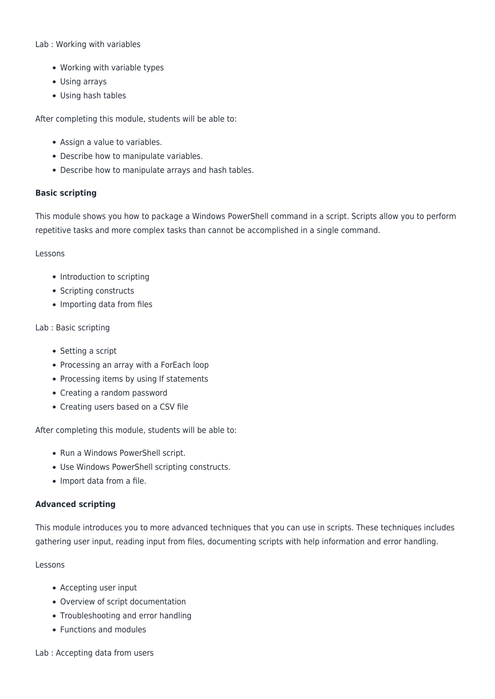#### Lab : Working with variables

- Working with variable types
- Using arrays
- Using hash tables

After completing this module, students will be able to:

- Assign a value to variables.
- Describe how to manipulate variables.
- Describe how to manipulate arrays and hash tables.

#### **Basic scripting**

This module shows you how to package a Windows PowerShell command in a script. Scripts allow you to perform repetitive tasks and more complex tasks than cannot be accomplished in a single command.

#### Lessons

- Introduction to scripting
- Scripting constructs
- Importing data from files

#### Lab : Basic scripting

- Setting a script
- Processing an array with a ForEach loop
- Processing items by using If statements
- Creating a random password
- Creating users based on a CSV file

After completing this module, students will be able to:

- Run a Windows PowerShell script.
- Use Windows PowerShell scripting constructs.
- Import data from a file.

#### **Advanced scripting**

This module introduces you to more advanced techniques that you can use in scripts. These techniques includes gathering user input, reading input from files, documenting scripts with help information and error handling.

#### Lessons

- Accepting user input
- Overview of script documentation
- Troubleshooting and error handling
- Functions and modules

#### Lab : Accepting data from users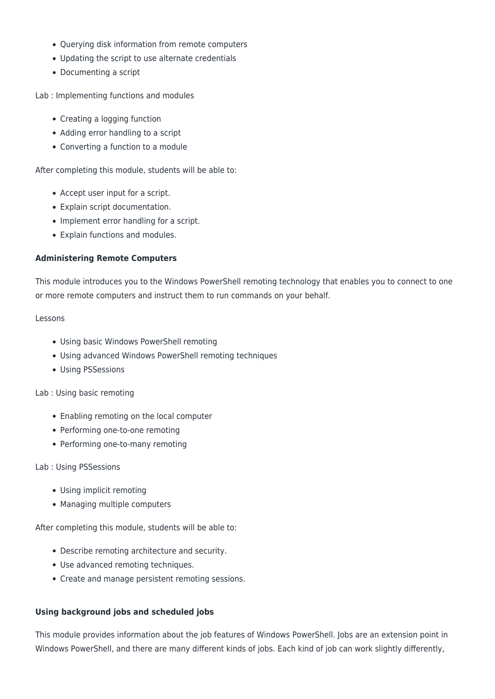- Querying disk information from remote computers
- Updating the script to use alternate credentials
- Documenting a script

Lab : Implementing functions and modules

- Creating a logging function
- Adding error handling to a script
- Converting a function to a module

After completing this module, students will be able to:

- Accept user input for a script.
- Explain script documentation.
- Implement error handling for a script.
- Explain functions and modules.

#### **Administering Remote Computers**

This module introduces you to the Windows PowerShell remoting technology that enables you to connect to one or more remote computers and instruct them to run commands on your behalf.

#### Lessons

- Using basic Windows PowerShell remoting
- Using advanced Windows PowerShell remoting techniques
- Using PSSessions

#### Lab : Using basic remoting

- Enabling remoting on the local computer
- Performing one-to-one remoting
- Performing one-to-many remoting

#### Lab : Using PSSessions

- Using implicit remoting
- Managing multiple computers

After completing this module, students will be able to:

- Describe remoting architecture and security.
- Use advanced remoting techniques.
- Create and manage persistent remoting sessions.

#### **Using background jobs and scheduled jobs**

This module provides information about the job features of Windows PowerShell. Jobs are an extension point in Windows PowerShell, and there are many different kinds of jobs. Each kind of job can work slightly differently,